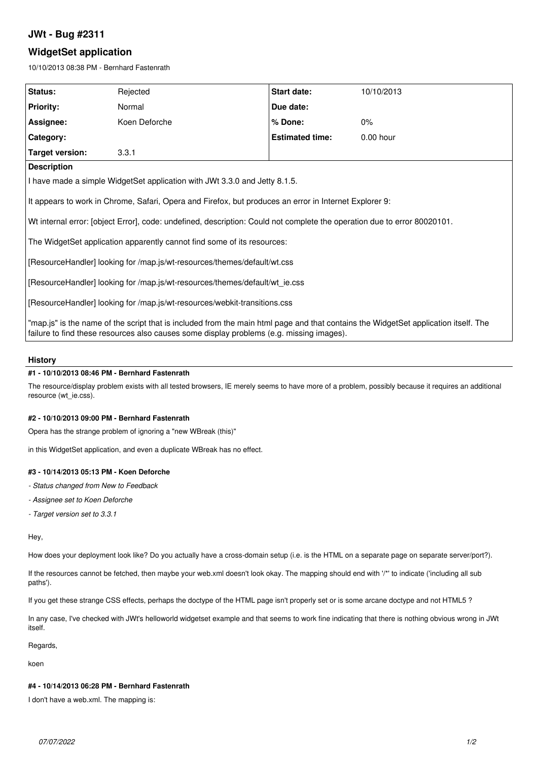# **JWt - Bug #2311**

# **WidgetSet application**

10/10/2013 08:38 PM - Bernhard Fastenrath

| Status:                                                                                                                                                                                                                         | Rejected      | Start date:            | 10/10/2013  |
|---------------------------------------------------------------------------------------------------------------------------------------------------------------------------------------------------------------------------------|---------------|------------------------|-------------|
| <b>Priority:</b>                                                                                                                                                                                                                | Normal        | Due date:              |             |
| Assignee:                                                                                                                                                                                                                       | Koen Deforche | % Done:                | 0%          |
| Category:                                                                                                                                                                                                                       |               | <b>Estimated time:</b> | $0.00$ hour |
| <b>Target version:</b>                                                                                                                                                                                                          | 3.3.1         |                        |             |
| <b>Description</b>                                                                                                                                                                                                              |               |                        |             |
| I have made a simple WidgetSet application with JWt 3.3.0 and Jetty 8.1.5.                                                                                                                                                      |               |                        |             |
| It appears to work in Chrome, Safari, Opera and Firefox, but produces an error in Internet Explorer 9:                                                                                                                          |               |                        |             |
| Wt internal error: [object Error], code: undefined, description: Could not complete the operation due to error 80020101.                                                                                                        |               |                        |             |
| The WidgetSet application apparently cannot find some of its resources:                                                                                                                                                         |               |                        |             |
| [ResourceHandler] looking for /map.js/wt-resources/themes/default/wt.css                                                                                                                                                        |               |                        |             |
| [ResourceHandler] looking for /map.js/wt-resources/themes/default/wt ie.css                                                                                                                                                     |               |                        |             |
| [ResourceHandler] looking for /map.js/wt-resources/webkit-transitions.css                                                                                                                                                       |               |                        |             |
| "map.js" is the name of the script that is included from the main html page and that contains the WidgetSet application itself. The<br>failure to find these resources also causes some display problems (e.g. missing images). |               |                        |             |
|                                                                                                                                                                                                                                 |               |                        |             |

# **History**

## **#1 - 10/10/2013 08:46 PM - Bernhard Fastenrath**

The resource/display problem exists with all tested browsers, IE merely seems to have more of a problem, possibly because it requires an additional resource (wt\_ie.css).

## **#2 - 10/10/2013 09:00 PM - Bernhard Fastenrath**

Opera has the strange problem of ignoring a "new WBreak (this)"

in this WidgetSet application, and even a duplicate WBreak has no effect.

### **#3 - 10/14/2013 05:13 PM - Koen Deforche**

- *Status changed from New to Feedback*
- *Assignee set to Koen Deforche*
- *Target version set to 3.3.1*

Hey,

How does your deployment look like? Do you actually have a cross-domain setup (i.e. is the HTML on a separate page on separate server/port?).

If the resources cannot be fetched, then maybe your web.xml doesn't look okay. The mapping should end with '/\*' to indicate ('including all sub paths').

If you get these strange CSS effects, perhaps the doctype of the HTML page isn't properly set or is some arcane doctype and not HTML5 ?

In any case, I've checked with JWt's helloworld widgetset example and that seems to work fine indicating that there is nothing obvious wrong in JWt itself.

Regards,

koen

### **#4 - 10/14/2013 06:28 PM - Bernhard Fastenrath**

I don't have a web.xml. The mapping is: